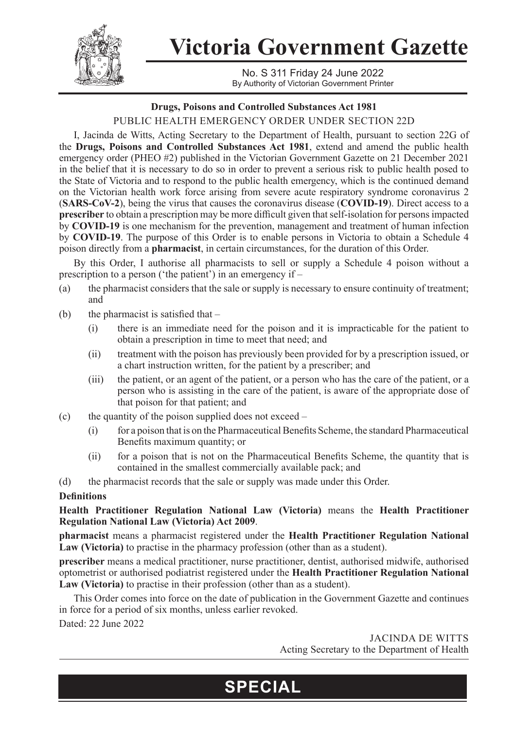

**Victoria Government Gazette**

No. S 311 Friday 24 June 2022 By Authority of Victorian Government Printer

## **Drugs, Poisons and Controlled Substances Act 1981**

PUBLIC HEALTH EMERGENCY ORDER UNDER SECTION 22D

I, Jacinda de Witts, Acting Secretary to the Department of Health, pursuant to section 22G of the **Drugs, Poisons and Controlled Substances Act 1981**, extend and amend the public health emergency order (PHEO #2) published in the Victorian Government Gazette on 21 December 2021 in the belief that it is necessary to do so in order to prevent a serious risk to public health posed to the State of Victoria and to respond to the public health emergency, which is the continued demand on the Victorian health work force arising from severe acute respiratory syndrome coronavirus 2 (**SARS-CoV-2**), being the virus that causes the coronavirus disease (**COVID-19**). Direct access to a **prescriber** to obtain a prescription may be more difficult given that self-isolation for persons impacted by **COVID-19** is one mechanism for the prevention, management and treatment of human infection by **COVID-19**. The purpose of this Order is to enable persons in Victoria to obtain a Schedule 4 poison directly from a **pharmacist**, in certain circumstances, for the duration of this Order.

By this Order, I authorise all pharmacists to sell or supply a Schedule 4 poison without a prescription to a person ('the patient') in an emergency if –

- (a) the pharmacist considers that the sale or supply is necessary to ensure continuity of treatment; and
- (b) the pharmacist is satisfied that  $-$ 
	- (i) there is an immediate need for the poison and it is impracticable for the patient to obtain a prescription in time to meet that need; and
	- (ii) treatment with the poison has previously been provided for by a prescription issued, or a chart instruction written, for the patient by a prescriber; and
	- (iii) the patient, or an agent of the patient, or a person who has the care of the patient, or a person who is assisting in the care of the patient, is aware of the appropriate dose of that poison for that patient; and
- (c) the quantity of the poison supplied does not exceed
	- (i) for a poison that is on the Pharmaceutical Benefits Scheme, the standard Pharmaceutical Benefits maximum quantity; or
	- (ii) for a poison that is not on the Pharmaceutical Benefits Scheme, the quantity that is contained in the smallest commercially available pack; and
- (d) the pharmacist records that the sale or supply was made under this Order.

## **Definitions**

**Health Practitioner Regulation National Law (Victoria)** means the **Health Practitioner Regulation National Law (Victoria) Act 2009**.

**pharmacist** means a pharmacist registered under the **Health Practitioner Regulation National Law (Victoria)** to practise in the pharmacy profession (other than as a student).

**prescriber** means a medical practitioner, nurse practitioner, dentist, authorised midwife, authorised optometrist or authorised podiatrist registered under the **Health Practitioner Regulation National Law (Victoria)** to practise in their profession (other than as a student).

This Order comes into force on the date of publication in the Government Gazette and continues in force for a period of six months, unless earlier revoked.

**SPECIAL**

Dated: 22 June 2022

JACINDA DE WITTS Acting Secretary to the Department of Health